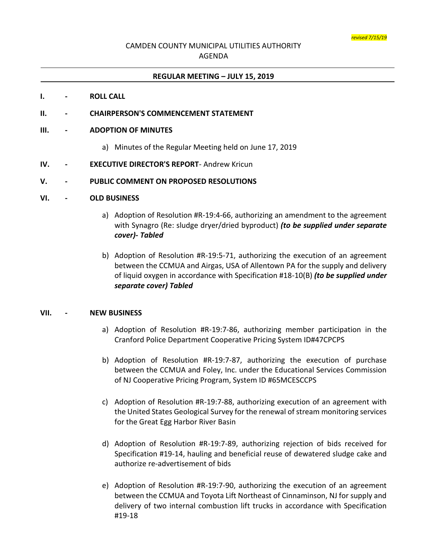# CAMDEN COUNTY MUNICIPAL UTILITIES AUTHORITY AGENDA

## **REGULAR MEETING – JULY 15, 2019**

#### **I. - ROLL CALL**

## **II. - CHAIRPERSON'S COMMENCEMENT STATEMENT**

#### **III. - ADOPTION OF MINUTES**

- a) Minutes of the Regular Meeting held on June 17, 2019
- **IV. - EXECUTIVE DIRECTOR'S REPORT** Andrew Kricun

#### **V. - PUBLIC COMMENT ON PROPOSED RESOLUTIONS**

#### **VI. - OLD BUSINESS**

- a) Adoption of Resolution #R-19:4-66, authorizing an amendment to the agreement with Synagro (Re: sludge dryer/dried byproduct) *(to be supplied under separate cover)- Tabled*
- b) Adoption of Resolution #R-19:5-71, authorizing the execution of an agreement between the CCMUA and Airgas, USA of Allentown PA for the supply and delivery of liquid oxygen in accordance with Specification #18-10(B) *(to be supplied under separate cover) Tabled*

#### **VII. - NEW BUSINESS**

- a) Adoption of Resolution #R-19:7-86, authorizing member participation in the Cranford Police Department Cooperative Pricing System ID#47CPCPS
- b) Adoption of Resolution #R-19:7-87, authorizing the execution of purchase between the CCMUA and Foley, Inc. under the Educational Services Commission of NJ Cooperative Pricing Program, System ID #65MCESCCPS
- c) Adoption of Resolution #R-19:7-88, authorizing execution of an agreement with the United States Geological Survey for the renewal of stream monitoring services for the Great Egg Harbor River Basin
- d) Adoption of Resolution #R-19:7-89, authorizing rejection of bids received for Specification #19-14, hauling and beneficial reuse of dewatered sludge cake and authorize re-advertisement of bids
- e) Adoption of Resolution #R-19:7-90, authorizing the execution of an agreement between the CCMUA and Toyota Lift Northeast of Cinnaminson, NJ for supply and delivery of two internal combustion lift trucks in accordance with Specification #19-18